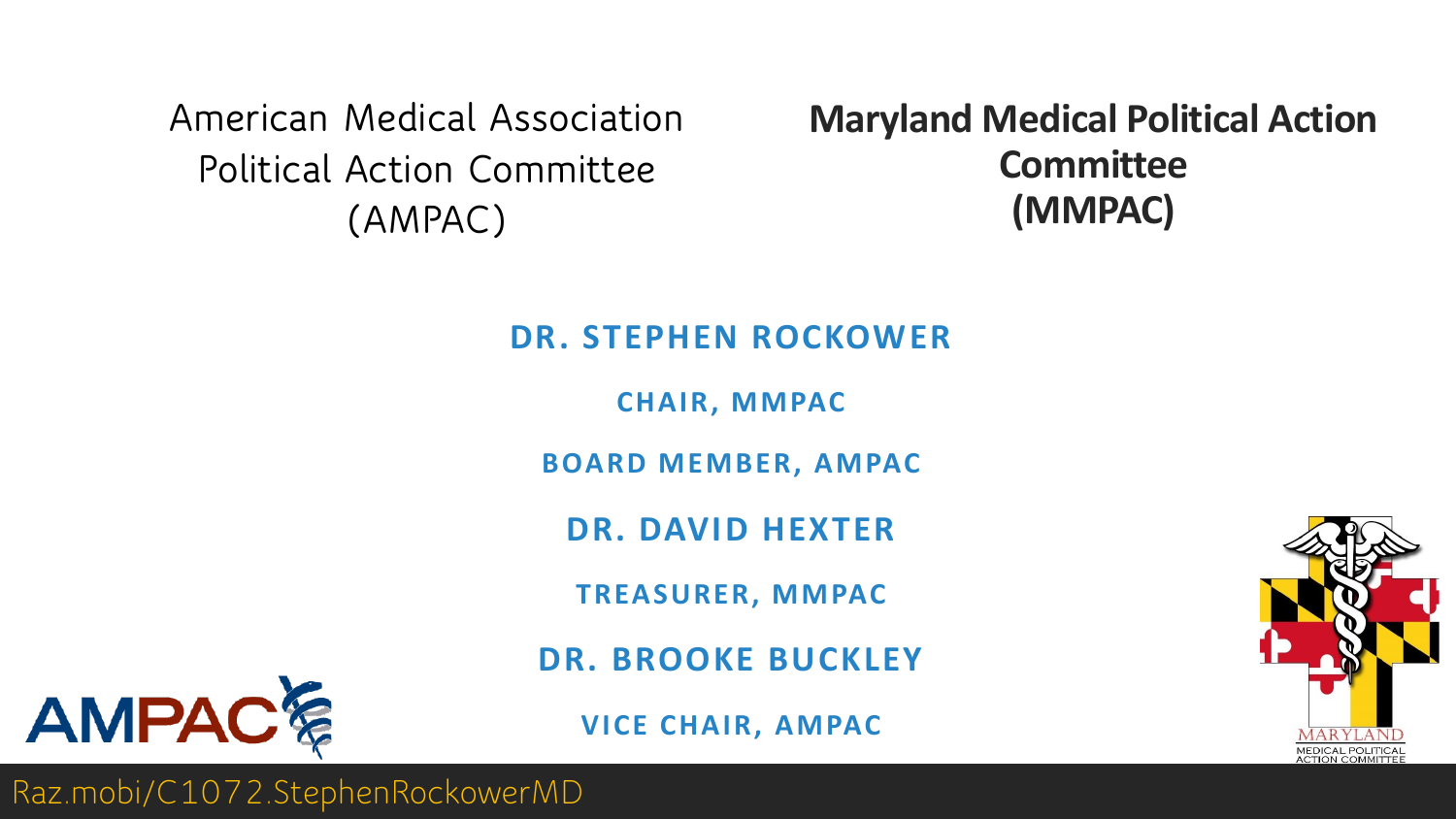**American Medical Association Political Action Committee (AMPAC)**

**Maryland Medical Political Action Committee (MMPAC)**

#### **DR. STEPHEN ROCKOWER**

**CHAIR, MMPAC**

**BOARD MEMBER, AMPAC**

**DR. DAVID HEXTER**

**TREASURER, MMPAC**

**DR. BROOKE BUCKLEY**

**VICE CHAIR, AMPAC**



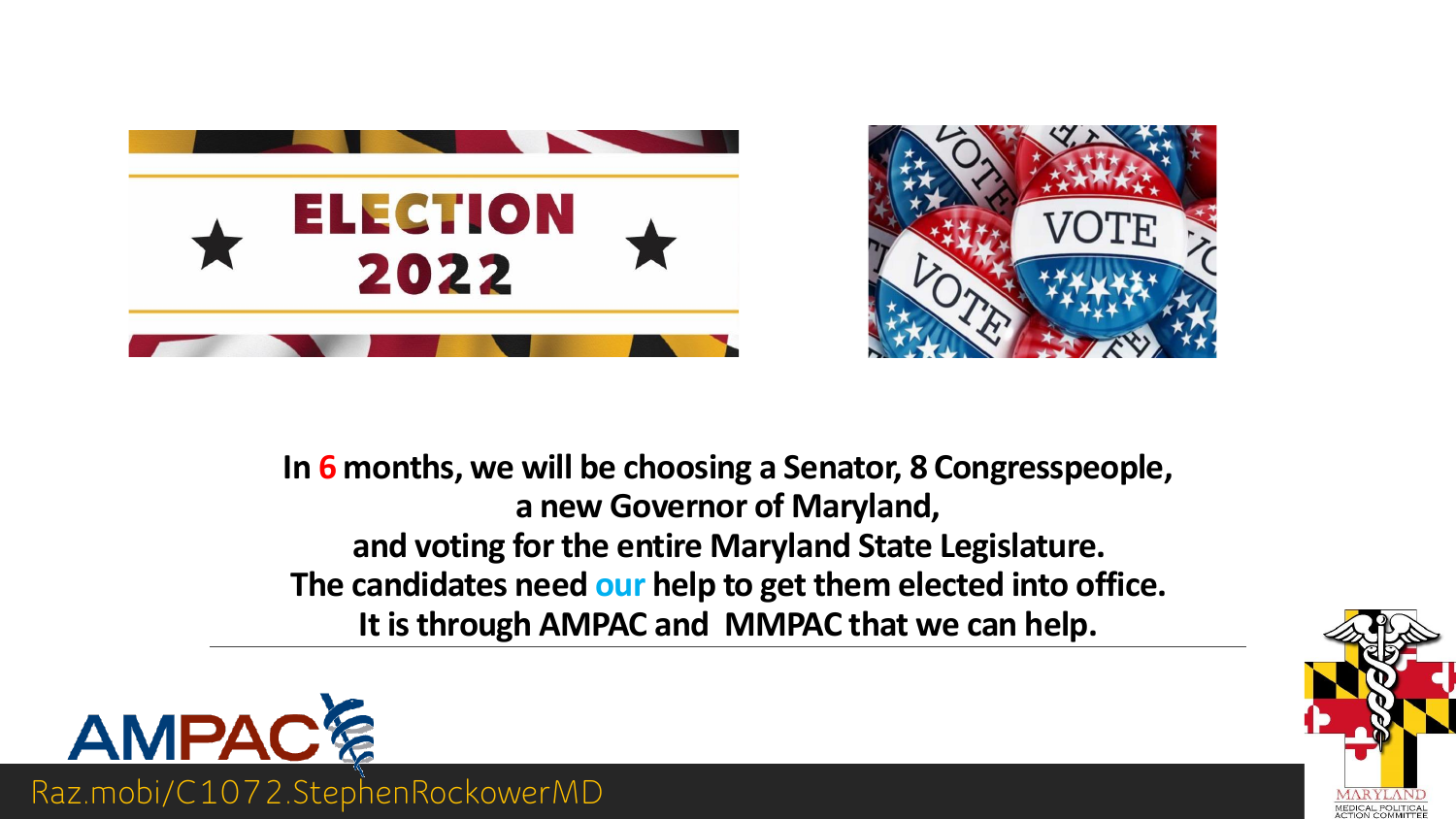



**In 6 months, we will be choosing a Senator, 8 Congresspeople, a new Governor of Maryland, and voting for the entire Maryland State Legislature. The candidates need our help to get them elected into office. It is through AMPAC and MMPAC that we can help.**



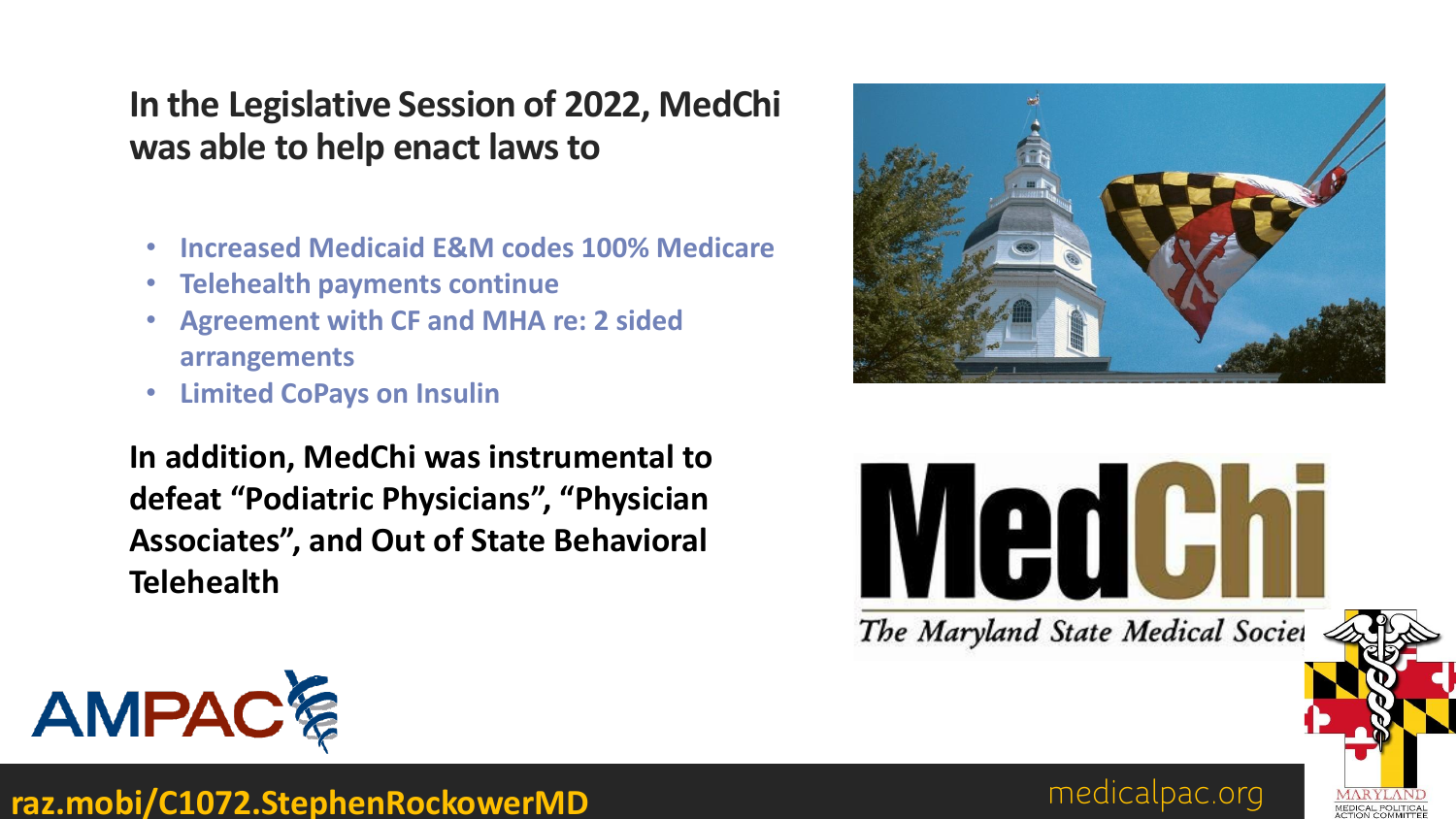### **In the Legislative Session of 2022, MedChi was able to help enact laws to**

- **Increased Medicaid E&M codes 100% Medicare**
- **Telehealth payments continue**
- **Agreement with CF and MHA re: 2 sided arrangements**
- **Limited CoPays on Insulin**

**In addition, MedChi was instrumental to defeat "Podiatric Physicians", "Physician Associates", and Out of State Behavioral Telehealth**









medicalpac.org **raz.mobi/C1072.StephenRockowerMD**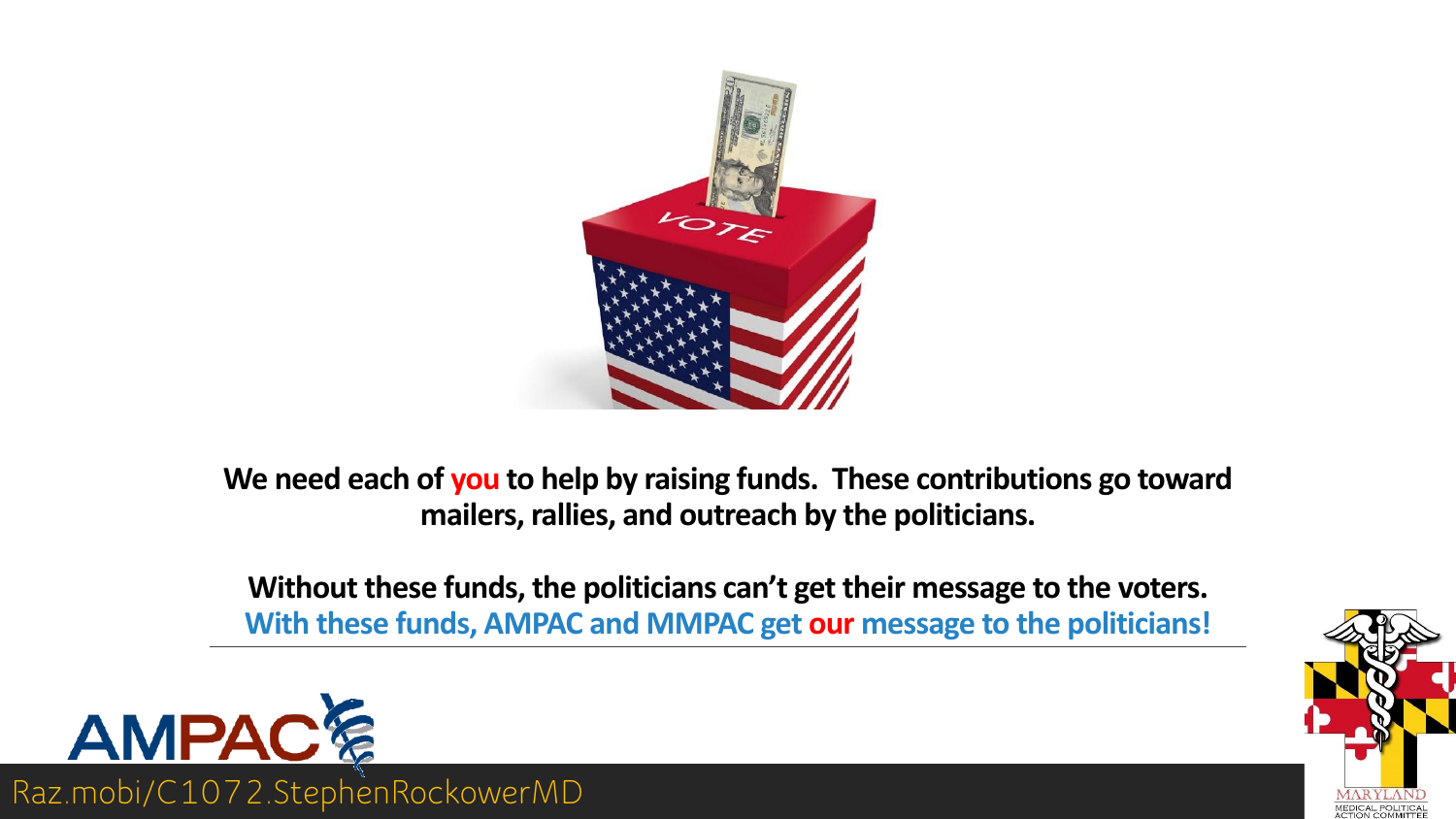

**We need each of you to help by raising funds. These contributions go toward mailers, rallies, and outreach by the politicians.** 

**Without these funds, the politicians can't get their message to the voters. With these funds, AMPAC and MMPAC get our message to the politicians!**



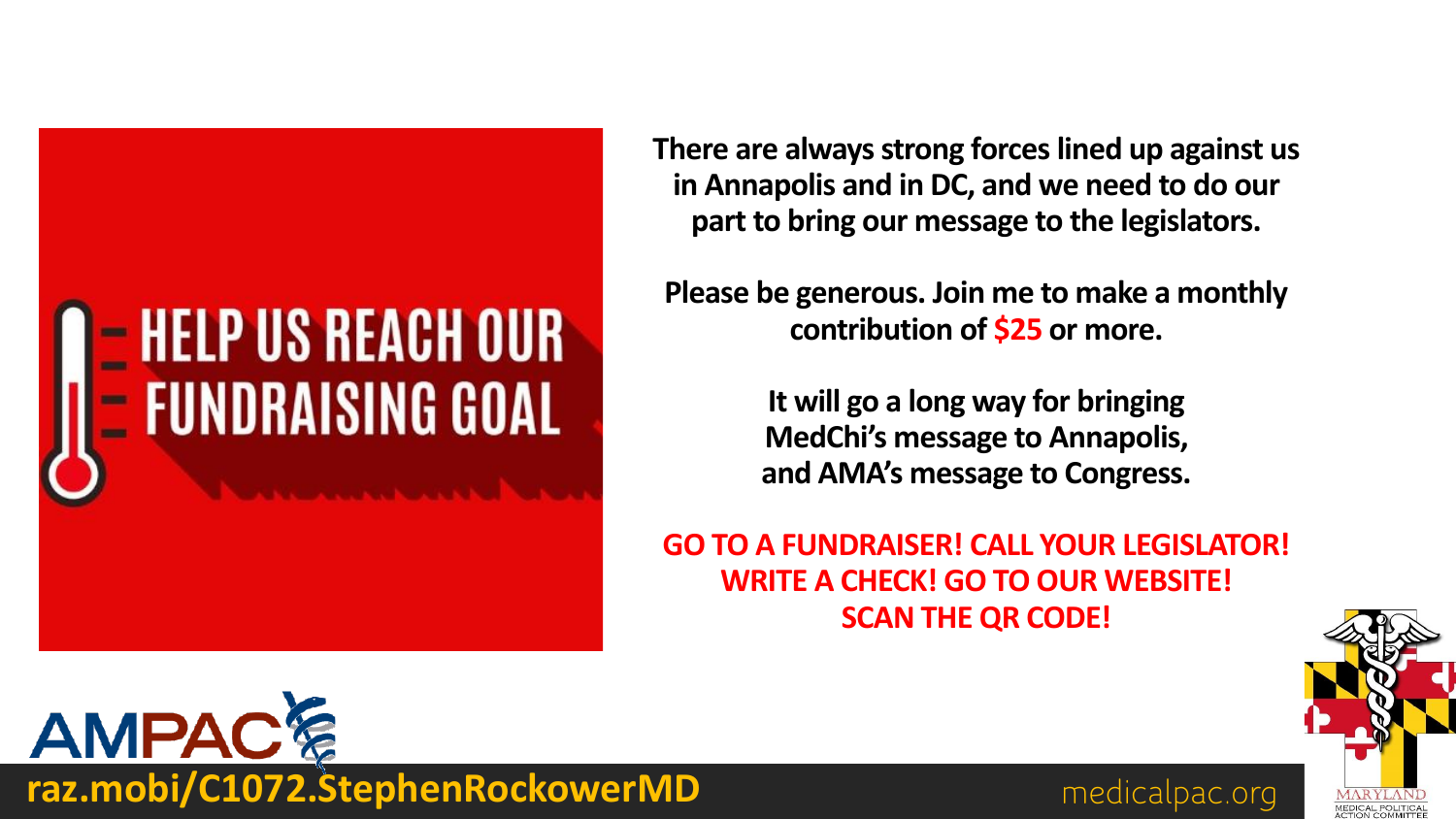# = HELP US REACH OUR<br>= FUNDRAISING GOAL

**There are always strong forces lined up against us in Annapolis and in DC, and we need to do our part to bring our message to the legislators.**

**Please be generous. Join me to make a monthly contribution of \$25 or more.** 

> **It will go a long way for bringing MedChi's message to Annapolis, and AMA's message to Congress.**

**GO TO A FUNDRAISER! CALL YOUR LEGISLATOR! WRITE A CHECK! GO TO OUR WEBSITE! SCAN THE QR CODE!**





**raz.mobi/C1072.StephenRockowerMD** medicalpac.org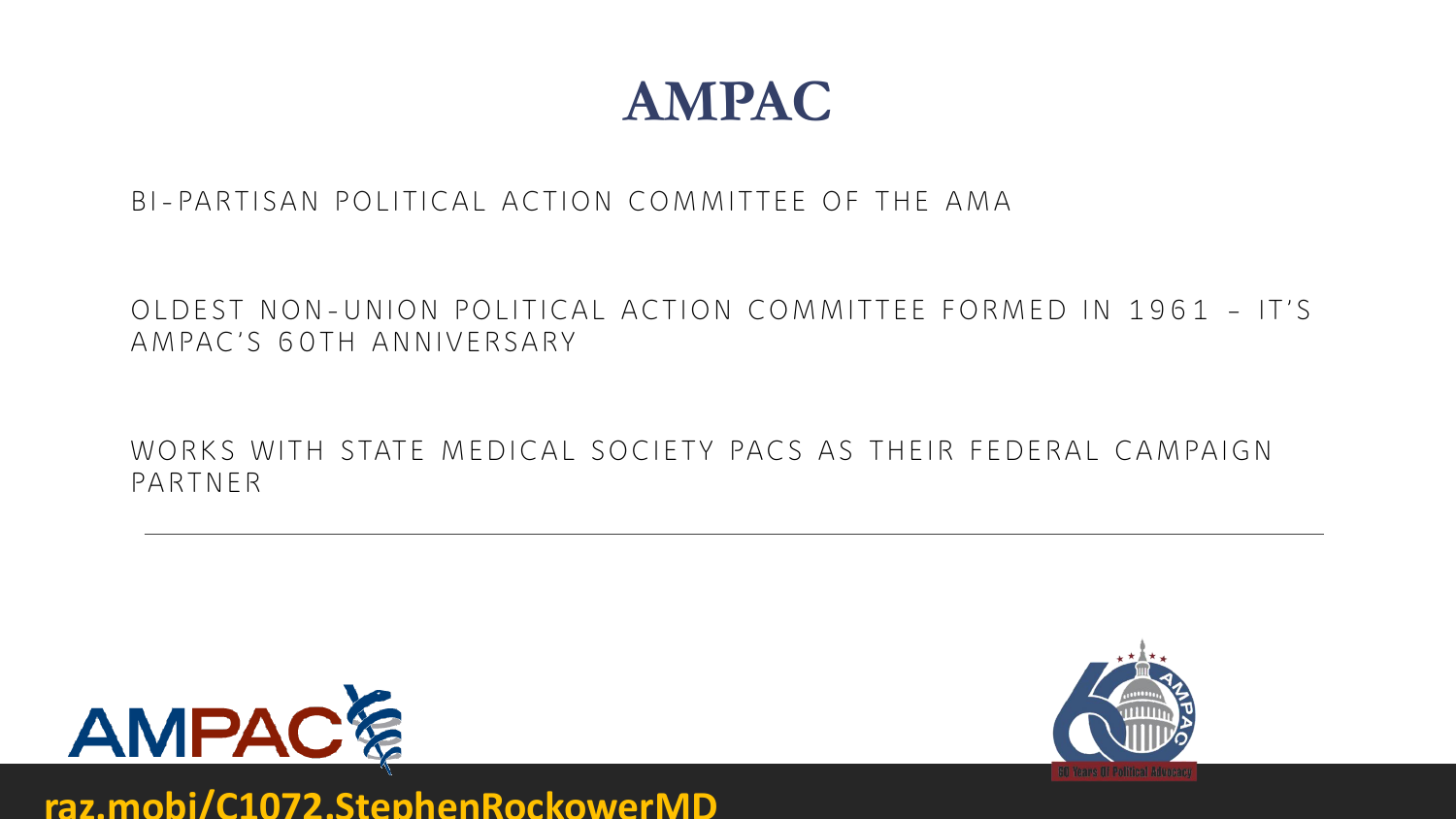

BI-PARTISAN POLITICAL ACTION COMMITTEE OF THE AMA

OLDEST NON-UNION POLITICAL ACTION COMMITTEE FORMED IN 1961 – IT'S AMPAC'S 60TH ANNIVERSARY

WORKS WITH STATE MEDICAL SOCIETY PACS AS THEIR FEDERAL CAMPAIGN PARTNER



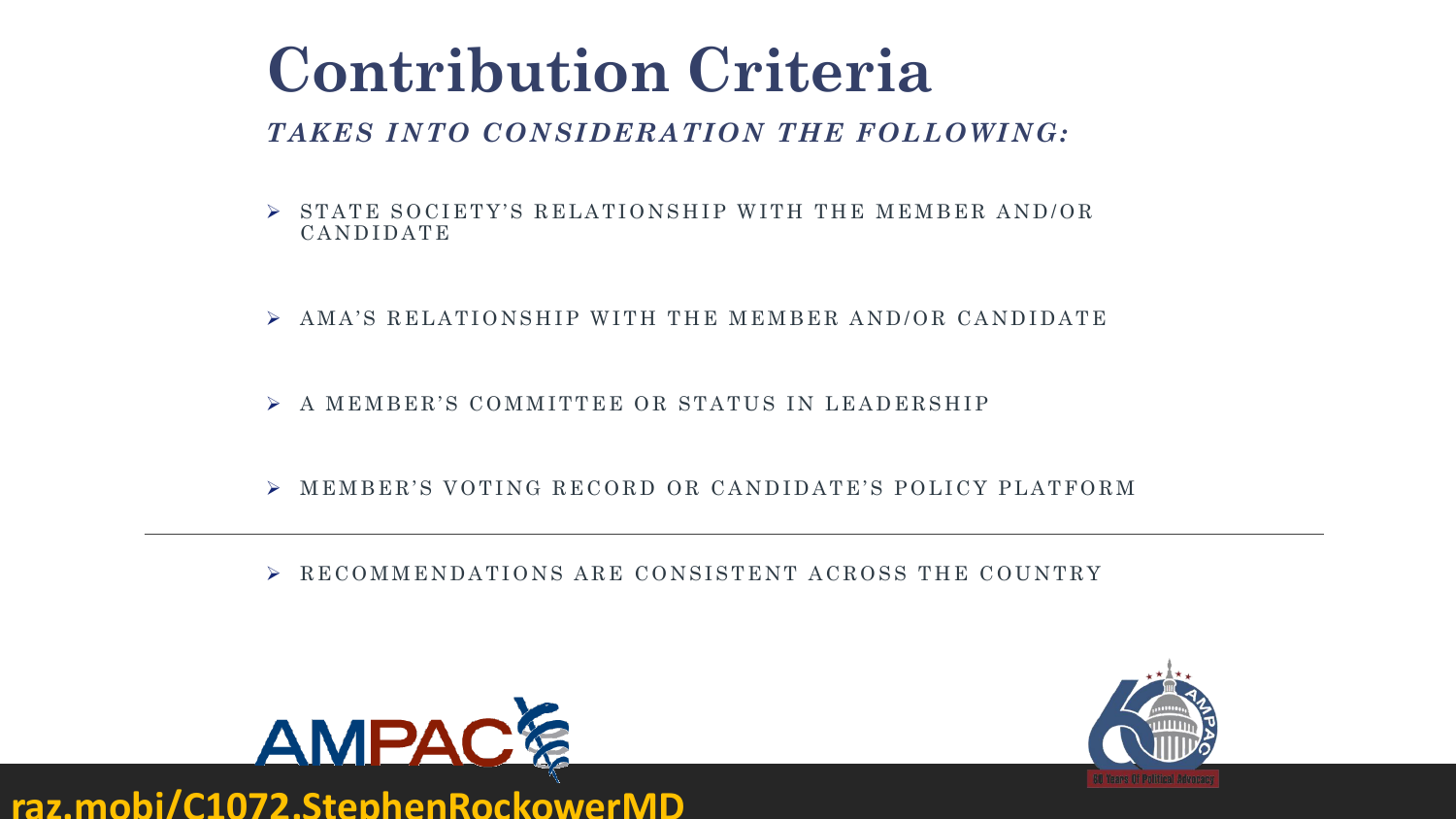## **Contribution Criteria**

#### *TAKES INTO CONSIDERATION THE FOLLOWING:*

- $\triangleright$  STATE SOCIETY'S RELATIONSHIP WITH THE MEMBER AND/OR CANDIDATE
- $\triangleright$  AMA'S RELATIONSHIP WITH THE MEMBER AND/OR CANDIDATE
- ➢ A MEMBER'S COMMITTEE OR STATUS IN LEADERSHIP
- ➢ MEMBER'S VOTING RECORD OR CANDIDATE'S POLICY PLATFORM
- ➢ RECOMMENDATIONS ARE CONSISTENT ACROSS THE COUNTRY



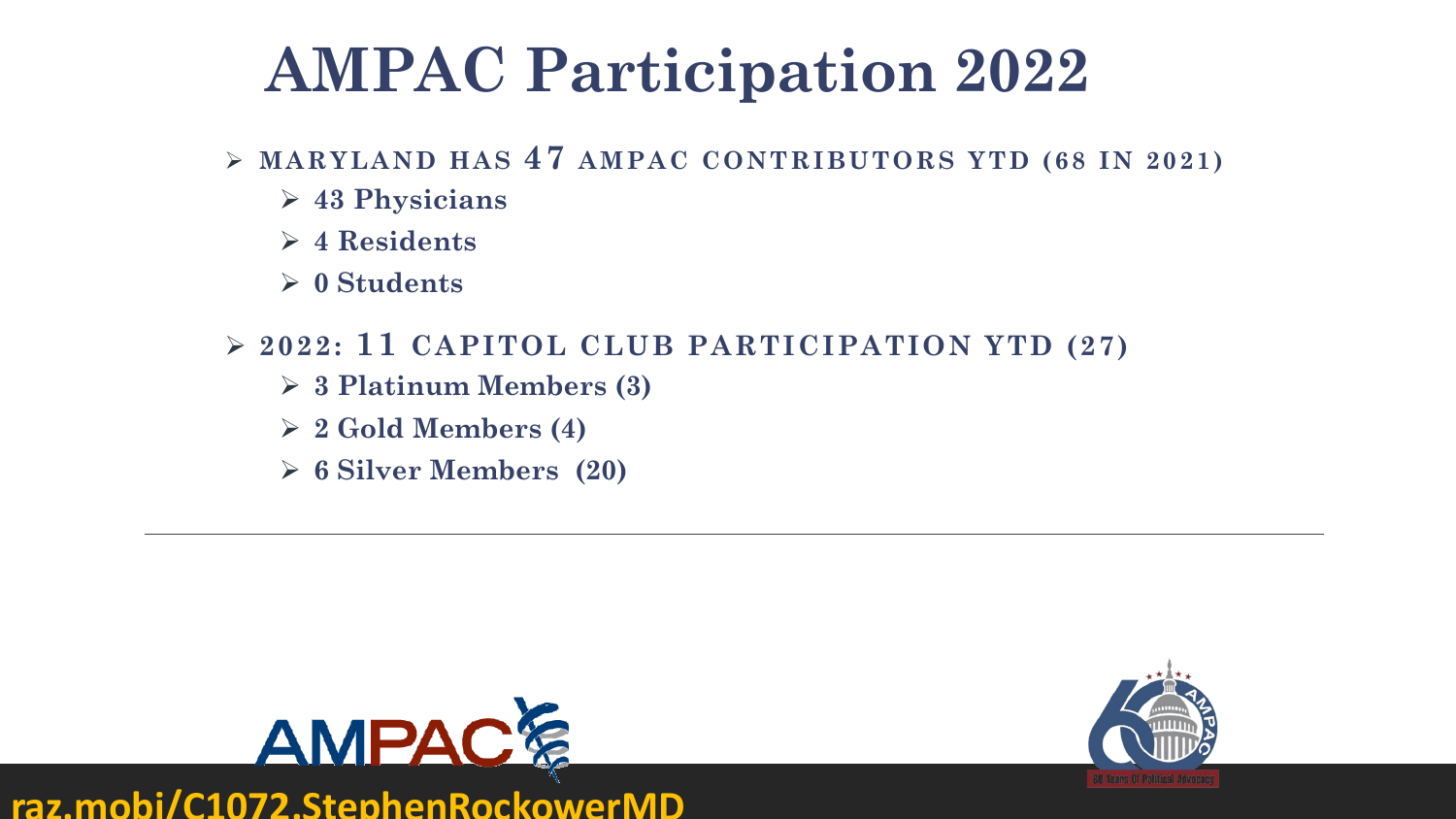## **AMPAC Participation 2022**

- ➢ **MARYLAND HAS 47 AMPAC CONTRIBUTORS YTD (68 IN 2021)**
	- ➢ **43 Physicians**
	- ➢ **4 Residents**
	- ➢ **0 Students**
- ➢ **2022: 11 CAPITOL CLUB PARTICIPATION YTD (27)**
	- ➢ **3 Platinum Members (3)**
	- ➢ **2 Gold Members (4)**
	- ➢ **6 Silver Members (20)**

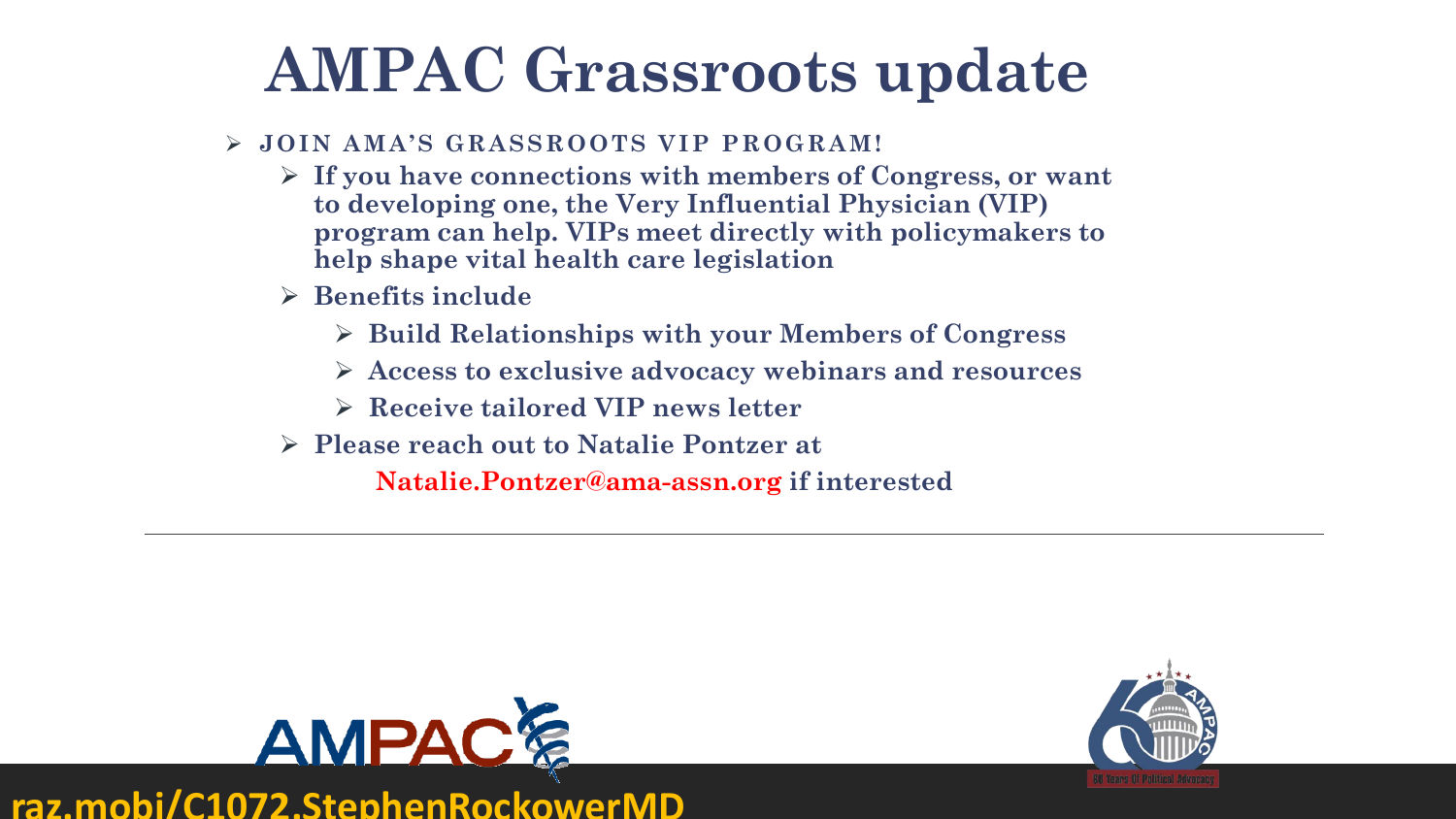## **AMPAC Grassroots update**

#### ➢ **JOIN AMA'S GRASSROOTS VIP PROGRAM!**

- ➢ **If you have connections with members of Congress, or want to developing one, the Very Influential Physician (VIP) program can help. VIPs meet directly with policymakers to help shape vital health care legislation**
- ➢ **Benefits include**
	- ➢ **Build Relationships with your Members of Congress**
	- ➢ **Access to exclusive advocacy webinars and resources**
	- ➢ **Receive tailored VIP news letter**
- ➢ **Please reach out to Natalie Pontzer at**

**Natalie.Pontzer@ama-assn.org if interested**